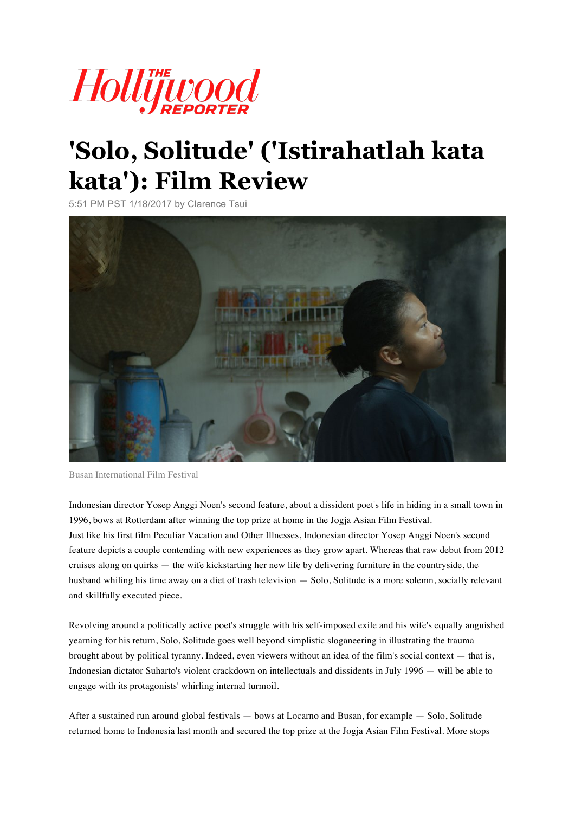

# **'Solo, Solitude' ('Istirahatlah kata kata'): Film Review**

5:51 PM PST 1/18/2017 by Clarence Tsui



Busan International Film Festival

Indonesian director Yosep Anggi Noen's second feature, about a dissident poet's life in hiding in a small town in 1996, bows at Rotterdam after winning the top prize at home in the Jogja Asian Film Festival. Just like his first film Peculiar Vacation and Other Illnesses, Indonesian director Yosep Anggi Noen's second feature depicts a couple contending with new experiences as they grow apart. Whereas that raw debut from 2012 cruises along on quirks — the wife kickstarting her new life by delivering furniture in the countryside, the husband whiling his time away on a diet of trash television — Solo, Solitude is a more solemn, socially relevant and skillfully executed piece.

Revolving around a politically active poet's struggle with his self-imposed exile and his wife's equally anguished yearning for his return, Solo, Solitude goes well beyond simplistic sloganeering in illustrating the trauma brought about by political tyranny. Indeed, even viewers without an idea of the film's social context — that is, Indonesian dictator Suharto's violent crackdown on intellectuals and dissidents in July 1996 — will be able to engage with its protagonists' whirling internal turmoil.

After a sustained run around global festivals — bows at Locarno and Busan, for example — Solo, Solitude returned home to Indonesia last month and secured the top prize at the Jogja Asian Film Festival. More stops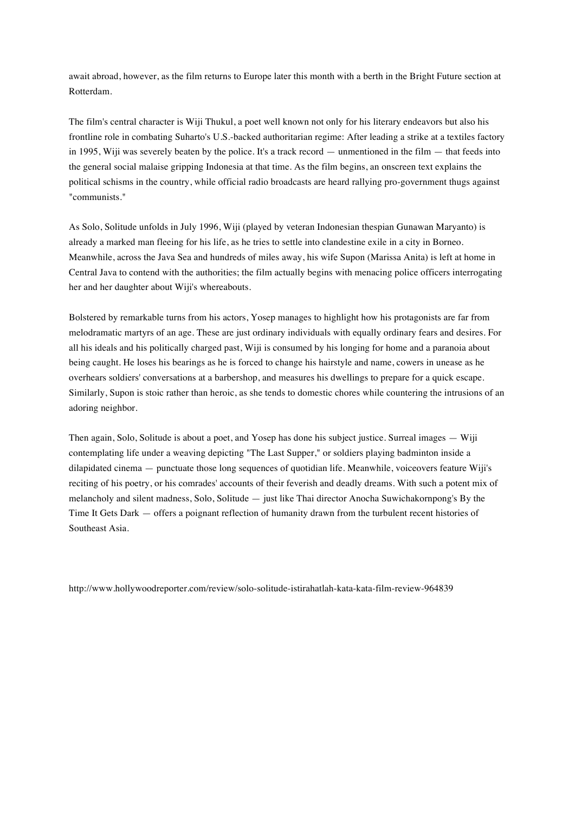await abroad, however, as the film returns to Europe later this month with a berth in the Bright Future section at Rotterdam.

The film's central character is Wiji Thukul, a poet well known not only for his literary endeavors but also his frontline role in combating Suharto's U.S.-backed authoritarian regime: After leading a strike at a textiles factory in 1995, Wiji was severely beaten by the police. It's a track record — unmentioned in the film — that feeds into the general social malaise gripping Indonesia at that time. As the film begins, an onscreen text explains the political schisms in the country, while official radio broadcasts are heard rallying pro-government thugs against "communists."

As Solo, Solitude unfolds in July 1996, Wiji (played by veteran Indonesian thespian Gunawan Maryanto) is already a marked man fleeing for his life, as he tries to settle into clandestine exile in a city in Borneo. Meanwhile, across the Java Sea and hundreds of miles away, his wife Supon (Marissa Anita) is left at home in Central Java to contend with the authorities; the film actually begins with menacing police officers interrogating her and her daughter about Wiji's whereabouts.

Bolstered by remarkable turns from his actors, Yosep manages to highlight how his protagonists are far from melodramatic martyrs of an age. These are just ordinary individuals with equally ordinary fears and desires. For all his ideals and his politically charged past, Wiji is consumed by his longing for home and a paranoia about being caught. He loses his bearings as he is forced to change his hairstyle and name, cowers in unease as he overhears soldiers' conversations at a barbershop, and measures his dwellings to prepare for a quick escape. Similarly, Supon is stoic rather than heroic, as she tends to domestic chores while countering the intrusions of an adoring neighbor.

Then again, Solo, Solitude is about a poet, and Yosep has done his subject justice. Surreal images — Wiji contemplating life under a weaving depicting "The Last Supper," or soldiers playing badminton inside a dilapidated cinema — punctuate those long sequences of quotidian life. Meanwhile, voiceovers feature Wiji's reciting of his poetry, or his comrades' accounts of their feverish and deadly dreams. With such a potent mix of melancholy and silent madness, Solo, Solitude — just like Thai director Anocha Suwichakornpong's By the Time It Gets Dark — offers a poignant reflection of humanity drawn from the turbulent recent histories of Southeast Asia.

http://www.hollywoodreporter.com/review/solo-solitude-istirahatlah-kata-kata-film-review-964839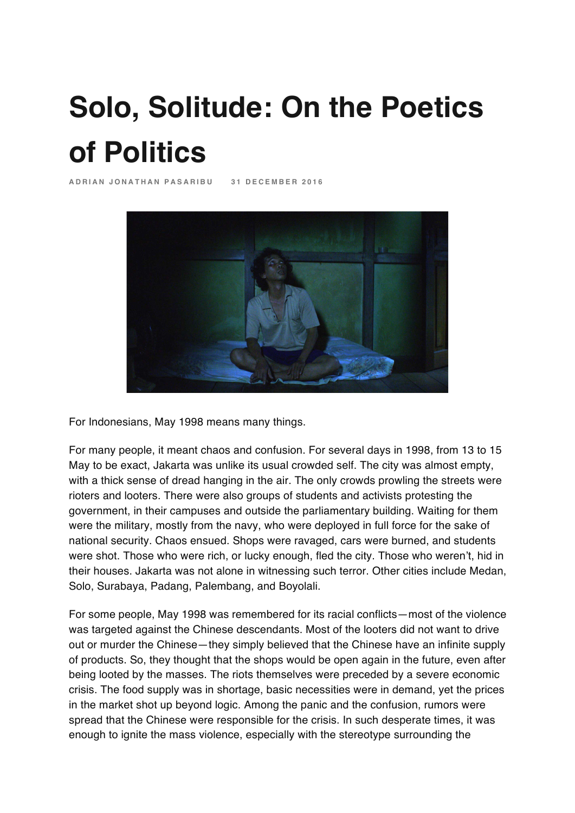# **Solo, Solitude: On the Poetics of Politics**

**ADRIAN JONATHAN PASA RIBU 31 DECEMBER 2016**



For Indonesians, May 1998 means many things.

For many people, it meant chaos and confusion. For several days in 1998, from 13 to 15 May to be exact, Jakarta was unlike its usual crowded self. The city was almost empty, with a thick sense of dread hanging in the air. The only crowds prowling the streets were rioters and looters. There were also groups of students and activists protesting the government, in their campuses and outside the parliamentary building. Waiting for them were the military, mostly from the navy, who were deployed in full force for the sake of national security. Chaos ensued. Shops were ravaged, cars were burned, and students were shot. Those who were rich, or lucky enough, fled the city. Those who weren't, hid in their houses. Jakarta was not alone in witnessing such terror. Other cities include Medan, Solo, Surabaya, Padang, Palembang, and Boyolali.

For some people, May 1998 was remembered for its racial conflicts—most of the violence was targeted against the Chinese descendants. Most of the looters did not want to drive out or murder the Chinese—they simply believed that the Chinese have an infinite supply of products. So, they thought that the shops would be open again in the future, even after being looted by the masses. The riots themselves were preceded by a severe economic crisis. The food supply was in shortage, basic necessities were in demand, yet the prices in the market shot up beyond logic. Among the panic and the confusion, rumors were spread that the Chinese were responsible for the crisis. In such desperate times, it was enough to ignite the mass violence, especially with the stereotype surrounding the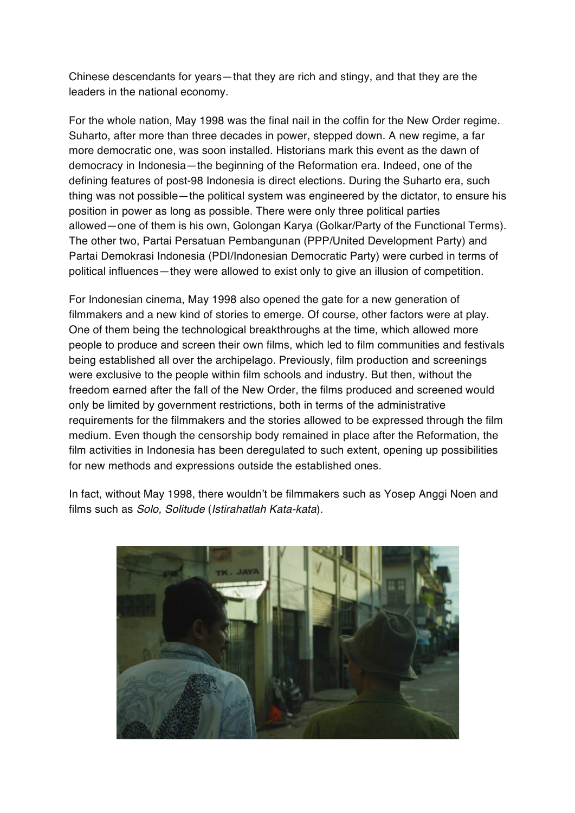Chinese descendants for years—that they are rich and stingy, and that they are the leaders in the national economy.

For the whole nation, May 1998 was the final nail in the coffin for the New Order regime. Suharto, after more than three decades in power, stepped down. A new regime, a far more democratic one, was soon installed. Historians mark this event as the dawn of democracy in Indonesia—the beginning of the Reformation era. Indeed, one of the defining features of post-98 Indonesia is direct elections. During the Suharto era, such thing was not possible—the political system was engineered by the dictator, to ensure his position in power as long as possible. There were only three political parties allowed—one of them is his own, Golongan Karya (Golkar/Party of the Functional Terms). The other two, Partai Persatuan Pembangunan (PPP/United Development Party) and Partai Demokrasi Indonesia (PDI/Indonesian Democratic Party) were curbed in terms of political influences—they were allowed to exist only to give an illusion of competition.

For Indonesian cinema, May 1998 also opened the gate for a new generation of filmmakers and a new kind of stories to emerge. Of course, other factors were at play. One of them being the technological breakthroughs at the time, which allowed more people to produce and screen their own films, which led to film communities and festivals being established all over the archipelago. Previously, film production and screenings were exclusive to the people within film schools and industry. But then, without the freedom earned after the fall of the New Order, the films produced and screened would only be limited by government restrictions, both in terms of the administrative requirements for the filmmakers and the stories allowed to be expressed through the film medium. Even though the censorship body remained in place after the Reformation, the film activities in Indonesia has been deregulated to such extent, opening up possibilities for new methods and expressions outside the established ones.

In fact, without May 1998, there wouldn't be filmmakers such as Yosep Anggi Noen and films such as *Solo, Solitude* (*Istirahatlah Kata-kata*).

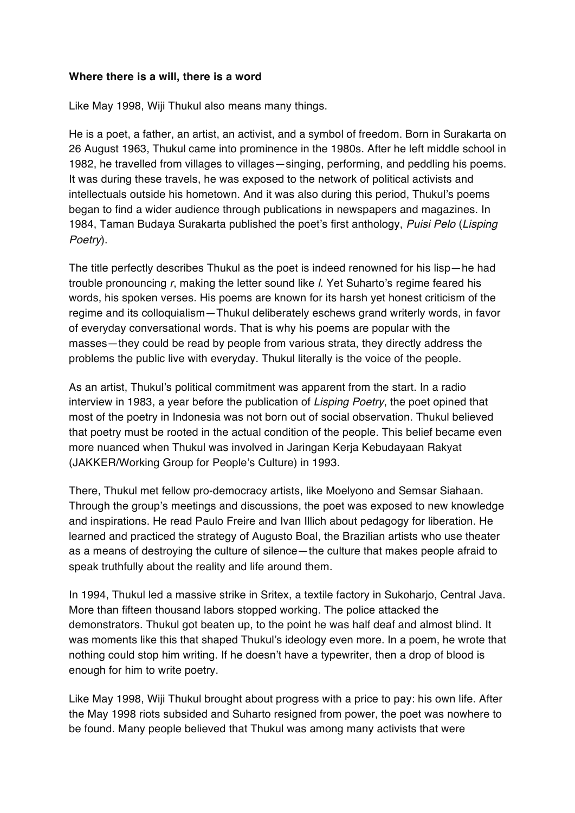#### **Where there is a will, there is a word**

Like May 1998, Wiji Thukul also means many things.

He is a poet, a father, an artist, an activist, and a symbol of freedom. Born in Surakarta on 26 August 1963, Thukul came into prominence in the 1980s. After he left middle school in 1982, he travelled from villages to villages—singing, performing, and peddling his poems. It was during these travels, he was exposed to the network of political activists and intellectuals outside his hometown. And it was also during this period, Thukul's poems began to find a wider audience through publications in newspapers and magazines. In 1984, Taman Budaya Surakarta published the poet's first anthology, *Puisi Pelo* (*Lisping Poetry*).

The title perfectly describes Thukul as the poet is indeed renowned for his lisp—he had trouble pronouncing *r*, making the letter sound like *l*. Yet Suharto's regime feared his words, his spoken verses. His poems are known for its harsh yet honest criticism of the regime and its colloquialism—Thukul deliberately eschews grand writerly words, in favor of everyday conversational words. That is why his poems are popular with the masses—they could be read by people from various strata, they directly address the problems the public live with everyday. Thukul literally is the voice of the people.

As an artist, Thukul's political commitment was apparent from the start. In a radio interview in 1983, a year before the publication of *Lisping Poetry*, the poet opined that most of the poetry in Indonesia was not born out of social observation. Thukul believed that poetry must be rooted in the actual condition of the people. This belief became even more nuanced when Thukul was involved in Jaringan Kerja Kebudayaan Rakyat (JAKKER/Working Group for People's Culture) in 1993.

There, Thukul met fellow pro-democracy artists, like Moelyono and Semsar Siahaan. Through the group's meetings and discussions, the poet was exposed to new knowledge and inspirations. He read Paulo Freire and Ivan Illich about pedagogy for liberation. He learned and practiced the strategy of Augusto Boal, the Brazilian artists who use theater as a means of destroying the culture of silence—the culture that makes people afraid to speak truthfully about the reality and life around them.

In 1994, Thukul led a massive strike in Sritex, a textile factory in Sukoharjo, Central Java. More than fifteen thousand labors stopped working. The police attacked the demonstrators. Thukul got beaten up, to the point he was half deaf and almost blind. It was moments like this that shaped Thukul's ideology even more. In a poem, he wrote that nothing could stop him writing. If he doesn't have a typewriter, then a drop of blood is enough for him to write poetry.

Like May 1998, Wiji Thukul brought about progress with a price to pay: his own life. After the May 1998 riots subsided and Suharto resigned from power, the poet was nowhere to be found. Many people believed that Thukul was among many activists that were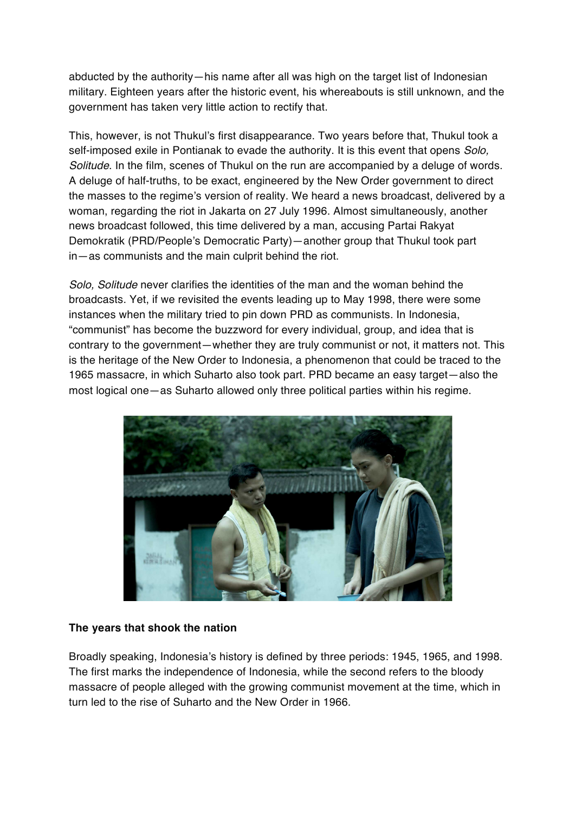abducted by the authority—his name after all was high on the target list of Indonesian military. Eighteen years after the historic event, his whereabouts is still unknown, and the government has taken very little action to rectify that.

This, however, is not Thukul's first disappearance. Two years before that, Thukul took a self-imposed exile in Pontianak to evade the authority. It is this event that opens *Solo, Solitude*. In the film, scenes of Thukul on the run are accompanied by a deluge of words. A deluge of half-truths, to be exact, engineered by the New Order government to direct the masses to the regime's version of reality. We heard a news broadcast, delivered by a woman, regarding the riot in Jakarta on 27 July 1996. Almost simultaneously, another news broadcast followed, this time delivered by a man, accusing Partai Rakyat Demokratik (PRD/People's Democratic Party)—another group that Thukul took part in—as communists and the main culprit behind the riot.

*Solo, Solitude* never clarifies the identities of the man and the woman behind the broadcasts. Yet, if we revisited the events leading up to May 1998, there were some instances when the military tried to pin down PRD as communists. In Indonesia, "communist" has become the buzzword for every individual, group, and idea that is contrary to the government—whether they are truly communist or not, it matters not. This is the heritage of the New Order to Indonesia, a phenomenon that could be traced to the 1965 massacre, in which Suharto also took part. PRD became an easy target—also the most logical one—as Suharto allowed only three political parties within his regime.



#### **The years that shook the nation**

Broadly speaking, Indonesia's history is defined by three periods: 1945, 1965, and 1998. The first marks the independence of Indonesia, while the second refers to the bloody massacre of people alleged with the growing communist movement at the time, which in turn led to the rise of Suharto and the New Order in 1966.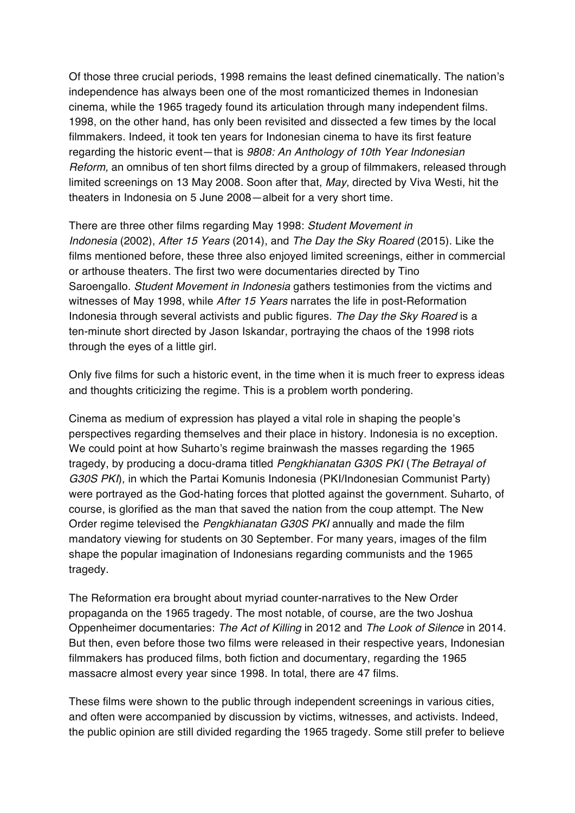Of those three crucial periods, 1998 remains the least defined cinematically. The nation's independence has always been one of the most romanticized themes in Indonesian cinema, while the 1965 tragedy found its articulation through many independent films. 1998, on the other hand, has only been revisited and dissected a few times by the local filmmakers. Indeed, it took ten years for Indonesian cinema to have its first feature regarding the historic event—that is *9808: An Anthology of 10th Year Indonesian Reform,* an omnibus of ten short films directed by a group of filmmakers, released through limited screenings on 13 May 2008. Soon after that, *May*, directed by Viva Westi, hit the theaters in Indonesia on 5 June 2008—albeit for a very short time.

There are three other films regarding May 1998: *Student Movement in Indonesia* (2002), *After 15 Years* (2014), and *The Day the Sky Roared* (2015). Like the films mentioned before, these three also enjoyed limited screenings, either in commercial or arthouse theaters. The first two were documentaries directed by Tino Saroengallo. *Student Movement in Indonesia* gathers testimonies from the victims and witnesses of May 1998, while *After 15 Years* narrates the life in post-Reformation Indonesia through several activists and public figures. *The Day the Sky Roared* is a ten-minute short directed by Jason Iskandar, portraying the chaos of the 1998 riots through the eyes of a little girl.

Only five films for such a historic event, in the time when it is much freer to express ideas and thoughts criticizing the regime. This is a problem worth pondering.

Cinema as medium of expression has played a vital role in shaping the people's perspectives regarding themselves and their place in history. Indonesia is no exception. We could point at how Suharto's regime brainwash the masses regarding the 1965 tragedy, by producing a docu-drama titled *Pengkhianatan G30S PKI* (*The Betrayal of G30S PKI*), in which the Partai Komunis Indonesia (PKI/Indonesian Communist Party) were portrayed as the God-hating forces that plotted against the government. Suharto, of course, is glorified as the man that saved the nation from the coup attempt. The New Order regime televised the *Pengkhianatan G30S PKI* annually and made the film mandatory viewing for students on 30 September. For many years, images of the film shape the popular imagination of Indonesians regarding communists and the 1965 tragedy.

The Reformation era brought about myriad counter-narratives to the New Order propaganda on the 1965 tragedy. The most notable, of course, are the two Joshua Oppenheimer documentaries: *The Act of Killing* in 2012 and *The Look of Silence* in 2014. But then, even before those two films were released in their respective years, Indonesian filmmakers has produced films, both fiction and documentary, regarding the 1965 massacre almost every year since 1998. In total, there are 47 films.

These films were shown to the public through independent screenings in various cities, and often were accompanied by discussion by victims, witnesses, and activists. Indeed, the public opinion are still divided regarding the 1965 tragedy. Some still prefer to believe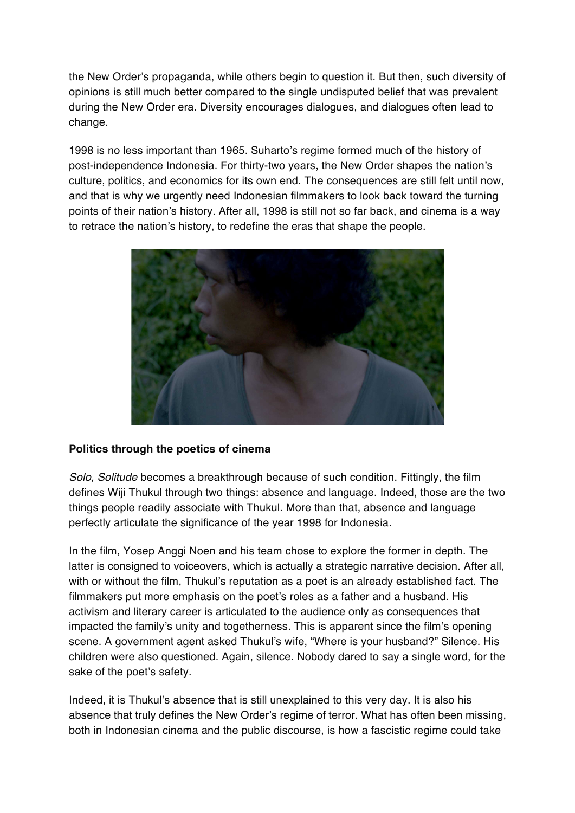the New Order's propaganda, while others begin to question it. But then, such diversity of opinions is still much better compared to the single undisputed belief that was prevalent during the New Order era. Diversity encourages dialogues, and dialogues often lead to change.

1998 is no less important than 1965. Suharto's regime formed much of the history of post-independence Indonesia. For thirty-two years, the New Order shapes the nation's culture, politics, and economics for its own end. The consequences are still felt until now, and that is why we urgently need Indonesian filmmakers to look back toward the turning points of their nation's history. After all, 1998 is still not so far back, and cinema is a way to retrace the nation's history, to redefine the eras that shape the people.



## **Politics through the poetics of cinema**

*Solo, Solitude* becomes a breakthrough because of such condition. Fittingly, the film defines Wiji Thukul through two things: absence and language. Indeed, those are the two things people readily associate with Thukul. More than that, absence and language perfectly articulate the significance of the year 1998 for Indonesia.

In the film, Yosep Anggi Noen and his team chose to explore the former in depth. The latter is consigned to voiceovers, which is actually a strategic narrative decision. After all, with or without the film, Thukul's reputation as a poet is an already established fact. The filmmakers put more emphasis on the poet's roles as a father and a husband. His activism and literary career is articulated to the audience only as consequences that impacted the family's unity and togetherness. This is apparent since the film's opening scene. A government agent asked Thukul's wife, "Where is your husband?" Silence. His children were also questioned. Again, silence. Nobody dared to say a single word, for the sake of the poet's safety.

Indeed, it is Thukul's absence that is still unexplained to this very day. It is also his absence that truly defines the New Order's regime of terror. What has often been missing, both in Indonesian cinema and the public discourse, is how a fascistic regime could take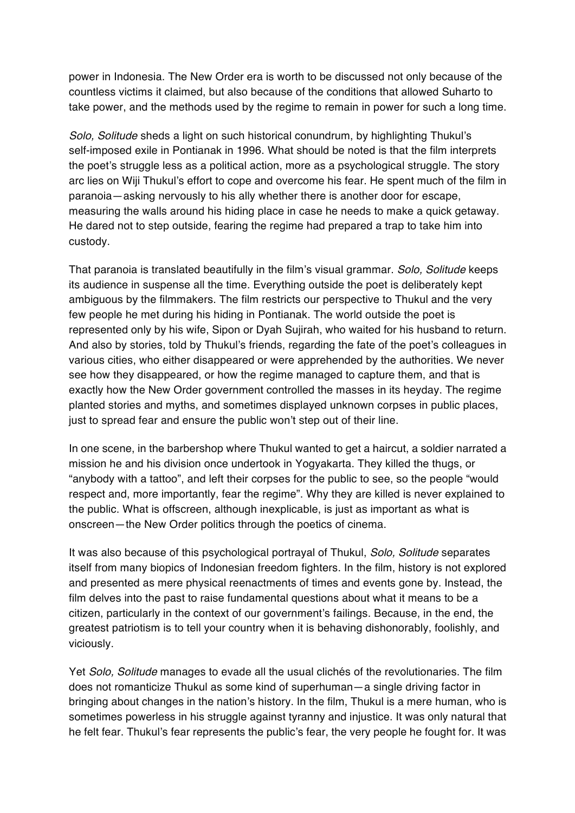power in Indonesia. The New Order era is worth to be discussed not only because of the countless victims it claimed, but also because of the conditions that allowed Suharto to take power, and the methods used by the regime to remain in power for such a long time.

*Solo, Solitude* sheds a light on such historical conundrum, by highlighting Thukul's self-imposed exile in Pontianak in 1996. What should be noted is that the film interprets the poet's struggle less as a political action, more as a psychological struggle. The story arc lies on Wiji Thukul's effort to cope and overcome his fear. He spent much of the film in paranoia—asking nervously to his ally whether there is another door for escape, measuring the walls around his hiding place in case he needs to make a quick getaway. He dared not to step outside, fearing the regime had prepared a trap to take him into custody.

That paranoia is translated beautifully in the film's visual grammar. *Solo, Solitude* keeps its audience in suspense all the time. Everything outside the poet is deliberately kept ambiguous by the filmmakers. The film restricts our perspective to Thukul and the very few people he met during his hiding in Pontianak. The world outside the poet is represented only by his wife, Sipon or Dyah Sujirah, who waited for his husband to return. And also by stories, told by Thukul's friends, regarding the fate of the poet's colleagues in various cities, who either disappeared or were apprehended by the authorities. We never see how they disappeared, or how the regime managed to capture them, and that is exactly how the New Order government controlled the masses in its heyday. The regime planted stories and myths, and sometimes displayed unknown corpses in public places, just to spread fear and ensure the public won't step out of their line.

In one scene, in the barbershop where Thukul wanted to get a haircut, a soldier narrated a mission he and his division once undertook in Yogyakarta. They killed the thugs, or "anybody with a tattoo", and left their corpses for the public to see, so the people "would respect and, more importantly, fear the regime". Why they are killed is never explained to the public. What is offscreen, although inexplicable, is just as important as what is onscreen—the New Order politics through the poetics of cinema.

It was also because of this psychological portrayal of Thukul, *Solo, Solitude* separates itself from many biopics of Indonesian freedom fighters. In the film, history is not explored and presented as mere physical reenactments of times and events gone by. Instead, the film delves into the past to raise fundamental questions about what it means to be a citizen, particularly in the context of our government's failings. Because, in the end, the greatest patriotism is to tell your country when it is behaving dishonorably, foolishly, and viciously.

Yet *Solo, Solitude* manages to evade all the usual clichés of the revolutionaries. The film does not romanticize Thukul as some kind of superhuman—a single driving factor in bringing about changes in the nation's history. In the film, Thukul is a mere human, who is sometimes powerless in his struggle against tyranny and injustice. It was only natural that he felt fear. Thukul's fear represents the public's fear, the very people he fought for. It was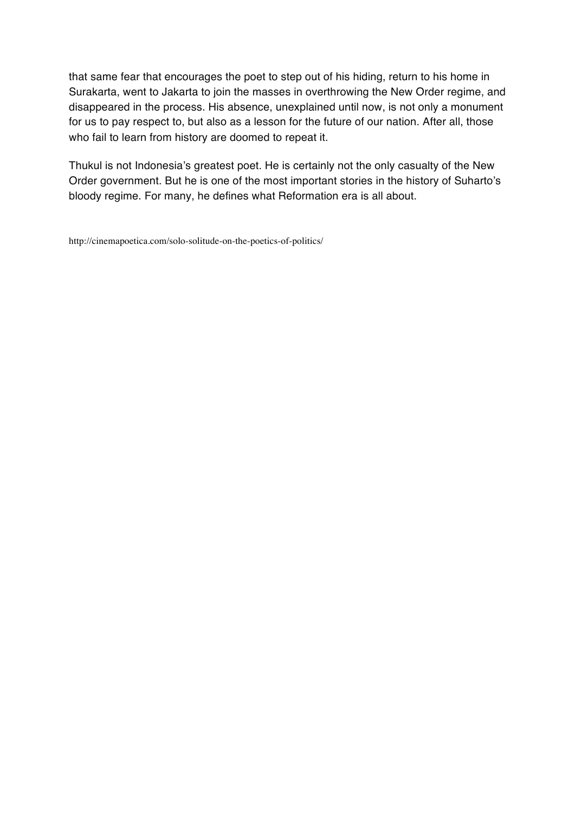that same fear that encourages the poet to step out of his hiding, return to his home in Surakarta, went to Jakarta to join the masses in overthrowing the New Order regime, and disappeared in the process. His absence, unexplained until now, is not only a monument for us to pay respect to, but also as a lesson for the future of our nation. After all, those who fail to learn from history are doomed to repeat it.

Thukul is not Indonesia's greatest poet. He is certainly not the only casualty of the New Order government. But he is one of the most important stories in the history of Suharto's bloody regime. For many, he defines what Reformation era is all about.

http://cinemapoetica.com/solo-solitude-on-the-poetics-of-politics/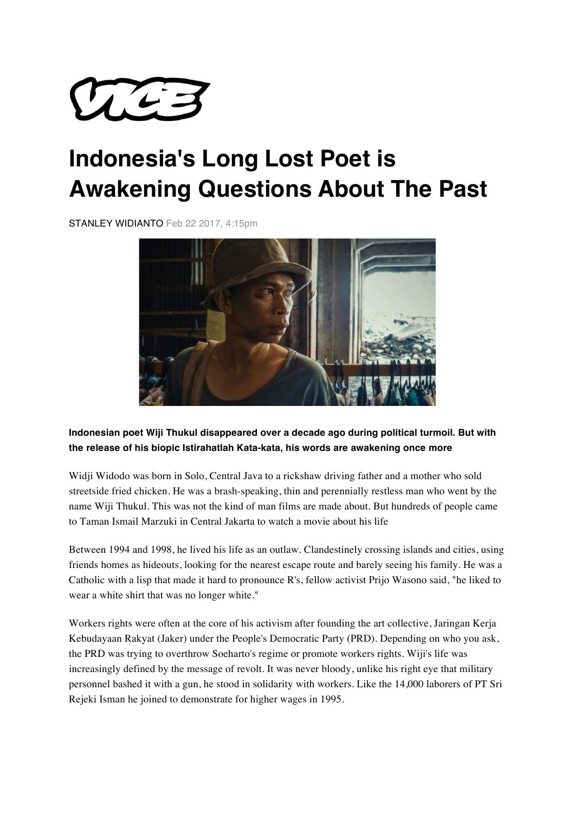

## **Indonesia's Long Lost Poet is Awakening Questions About The Past**

STANLEY WIDIANTO Feb 22 2017, 4:15pm



## **Indonesian poet Wiji Thukul disappeared over a decade ago during political turmoil. But with the release of his biopic Istirahatlah Kata-kata, his words are awakening once more**

Widji Widodo was born in Solo, Central Java to a rickshaw driving father and a mother who sold streetside fried chicken. He was a brash-speaking, thin and perennially restless man who went by the name Wiji Thukul. This was not the kind of man films are made about. But hundreds of people came to Taman Ismail Marzuki in Central Jakarta to watch a movie about his life

Between 1994 and 1998, he lived his life as an outlaw. Clandestinely crossing islands and cities, using friends homes as hideouts, looking for the nearest escape route and barely seeing his family. He was a Catholic with a lisp that made it hard to pronounce R's, fellow activist Prijo Wasono said, "he liked to wear a white shirt that was no longer white."

Workers rights were often at the core of his activism after founding the art collective, Jaringan Kerja Kebudayaan Rakyat (Jaker) under the People's Democratic Party (PRD). Depending on who you ask, the PRD was trying to overthrow Soeharto's regime or promote workers rights. Wiji's life was increasingly defined by the message of revolt. It was never bloody, unlike his right eye that military personnel bashed it with a gun, he stood in solidarity with workers. Like the 14,000 laborers of PT Sri Rejeki Isman he joined to demonstrate for higher wages in 1995.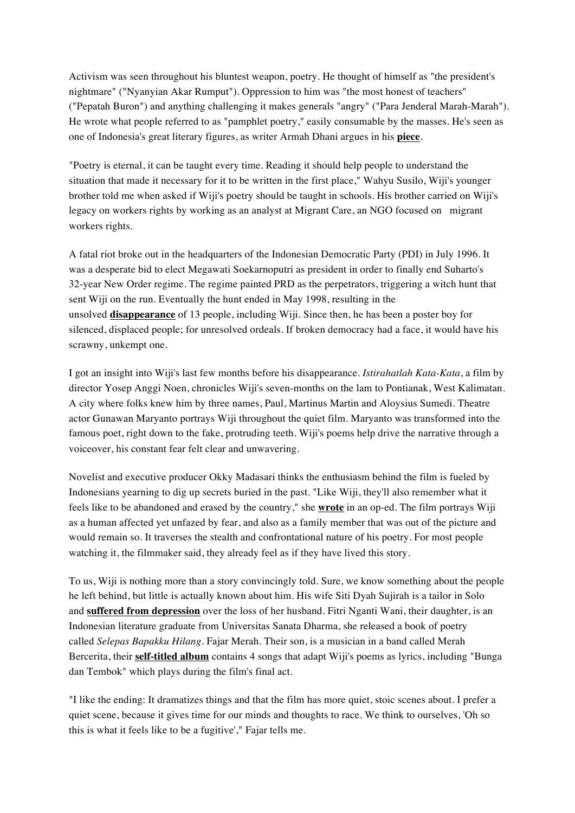Activism was seen throughout his bluntest weapon, poetry. He thought of himself as "the president's nightmare" ("Nyanyian Akar Rumput"). Oppression to him was "the most honest of teachers" ("Pepatah Buron") and anything challenging it makes generals "angry" ("Para Jenderal Marah-Marah"). He wrote what people referred to as "pamphlet poetry," easily consumable by the masses. He's seen as one of Indonesia's great literary figures, as writer Armah Dhani argues in his **piece**.

"Poetry is eternal, it can be taught every time. Reading it should help people to understand the situation that made it necessary for it to be written in the first place," Wahyu Susilo, Wiji's younger brother told me when asked if Wiji's poetry should be taught in schools. His brother carried on Wiji's legacy on workers rights by working as an analyst at Migrant Care, an NGO focused on migrant workers rights.

A fatal riot broke out in the headquarters of the Indonesian Democratic Party (PDI) in July 1996. It was a desperate bid to elect Megawati Soekarnoputri as president in order to finally end Suharto's 32-year New Order regime. The regime painted PRD as the perpetrators, triggering a witch hunt that sent Wiji on the run. Eventually the hunt ended in May 1998, resulting in the unsolved **disappearance** of 13 people, including Wiji. Since then, he has been a poster boy for silenced, displaced people; for unresolved ordeals. If broken democracy had a face, it would have his scrawny, unkempt one.

I got an insight into Wiji's last few months before his disappearance. *Istirahatlah Kata-Kata*, a film by director Yosep Anggi Noen, chronicles Wiji's seven-months on the lam to Pontianak, West Kalimatan. A city where folks knew him by three names, Paul, Martinus Martin and Aloysius Sumedi. Theatre actor Gunawan Maryanto portrays Wiji throughout the quiet film. Maryanto was transformed into the famous poet, right down to the fake, protruding teeth. Wiji's poems help drive the narrative through a voiceover, his constant fear felt clear and unwavering.

Novelist and executive producer Okky Madasari thinks the enthusiasm behind the film is fueled by Indonesians yearning to dig up secrets buried in the past. "Like Wiji, they'll also remember what it feels like to be abandoned and erased by the country," she **wrote** in an op-ed. The film portrays Wiji as a human affected yet unfazed by fear, and also as a family member that was out of the picture and would remain so. It traverses the stealth and confrontational nature of his poetry. For most people watching it, the filmmaker said, they already feel as if they have lived this story.

To us, Wiji is nothing more than a story convincingly told. Sure, we know something about the people he left behind, but little is actually known about him. His wife Siti Dyah Sujirah is a tailor in Solo and **suffered from depression** over the loss of her husband. Fitri Nganti Wani, their daughter, is an Indonesian literature graduate from Universitas Sanata Dharma, she released a book of poetry called *Selepas Bapakku Hilang.* Fajar Merah. Their son, is a musician in a band called Merah Bercerita, their **self-titled album** contains 4 songs that adapt Wiji's poems as lyrics, including "Bunga dan Tembok" which plays during the film's final act.

"I like the ending: It dramatizes things and that the film has more quiet, stoic scenes about. I prefer a quiet scene, because it gives time for our minds and thoughts to race. We think to ourselves, 'Oh so this is what it feels like to be a fugitive'," Fajar tells me.